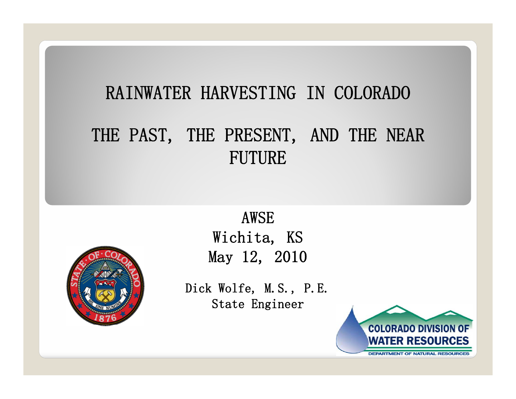#### RAINWATER HARVESTING IN COLORADO

#### THE PAST, THE PRESENT, AND THE NEAR FUTURE



AWSEWichita, KS May 12, 2010

Dick Wolfe, M.S., P.E. State Engineer

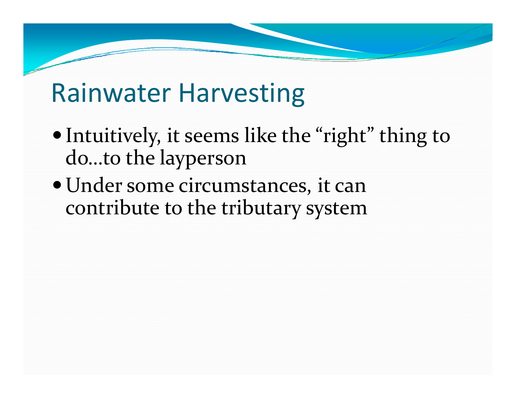- Intuitively, it seems like the "right" thing to do…to the layperson
- Under some circumstances, it can contribute to the tributary system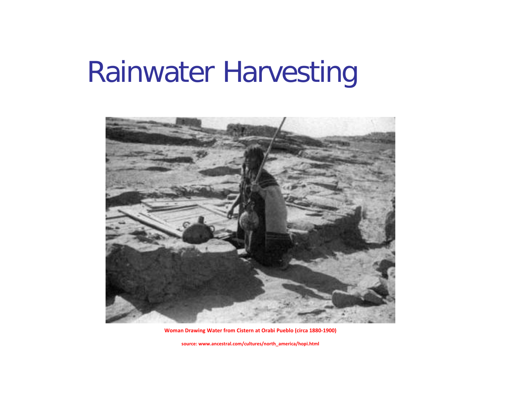

**Woman Drawing Water from Cistern at Orabi Pueblo (circa 1880‐1900)**

**source: www.ancestral.com/cultures/north\_america/hopi.html**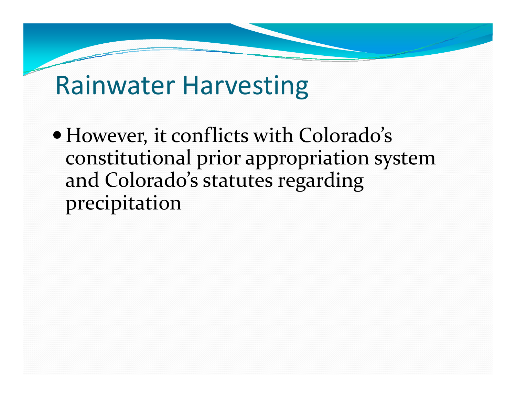• However, it conflicts with Colorado's constitutional prior appropriation system and Colorado's statutes regarding precipitation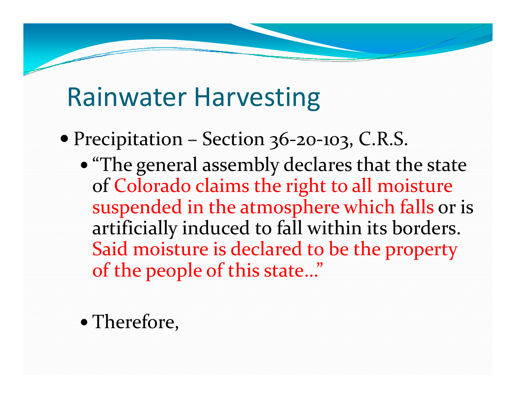- Precipitation Section 36-20-103, C.R.S.
	- "The general assembly declares that the state of Colorado claims the right to all moisture suspended in the atmosphere which falls or is artificially induced to fall within its borders. Said moisture is declared to be the property of the people of this state…"
	- Therefore,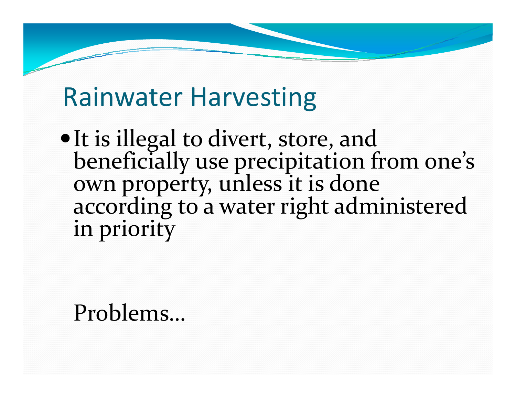• It is illegal to divert, store, and<br>beneficially use precipitation from one's beneficially use precipitation<br>own property, unless it is d according to a water right administered in priority

#### Problems…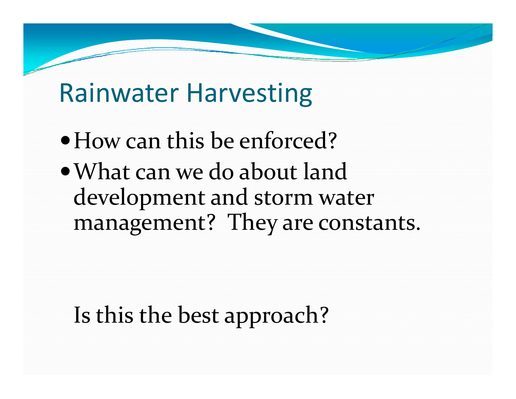- How can this be enforced?
- What can we do about land development and storm water management? They are constants.

#### Is this the best approach?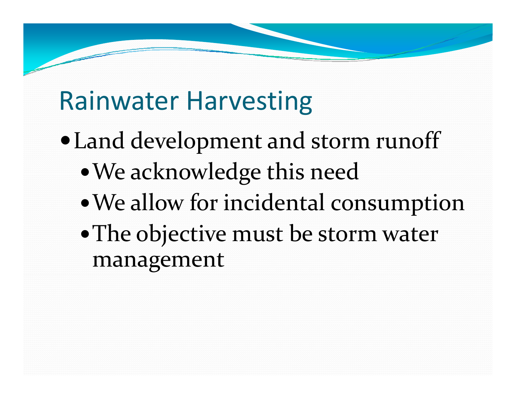- Land development and storm runoff
	- We acknowledge this need
	- We allow for incidental consumption
	- The objective must be storm water management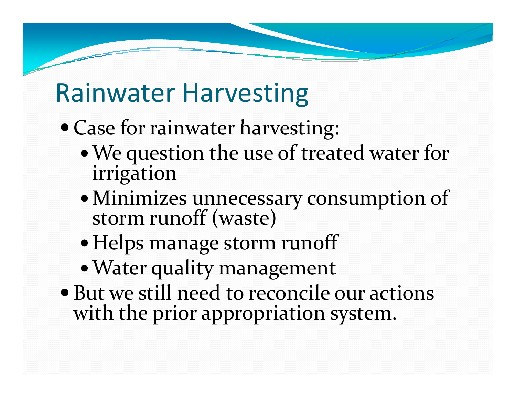- Case for rainwater harvesting:
	- We question the use of treated water for irrigation
	- Minimizes unnecessary consumption of storm runoff (waste)
	- Helps manage storm runoff
	- Water quality management
- But we still need to reconcile our actions with the prior appropriation system.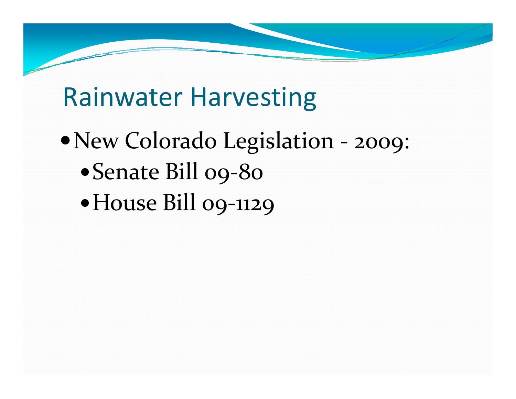- New Colorado Legislation ‐ 2009:
	- Senate Bill 09‐80
	- •House Bill 09-1129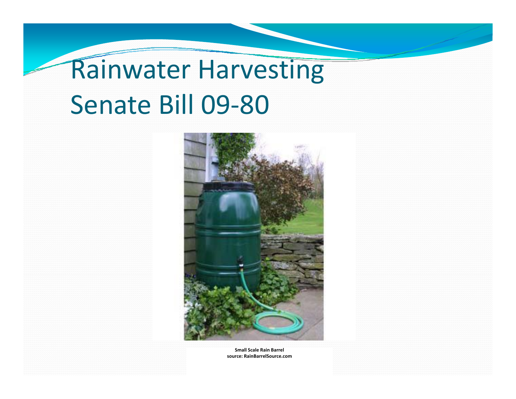# Rainwater Harvesting Senate Bill 09‐80



**Small Scale Rain Barrel source: RainBarrelSource.com**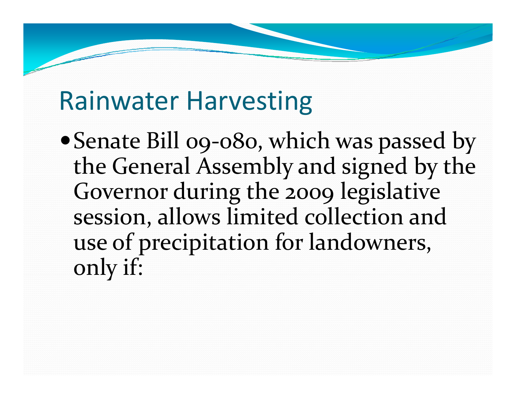Senate Bill 09‐080, which was passed by the General Assembly and signed by the Governor during the 2009 legislative session, allows limited collection and usee of precipitation for landowners, only if: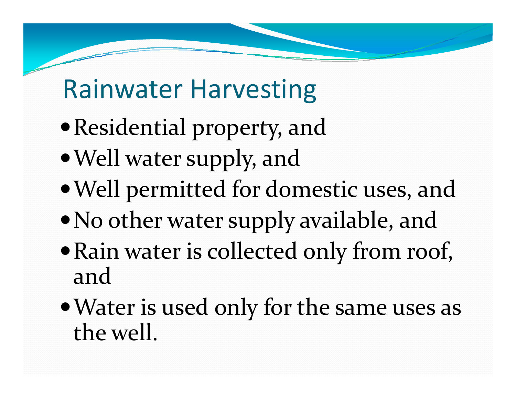- $\bullet$  Residential property, and
- Well water supply, and
- Well permitted for domestic uses, and
- $\bullet$  No other water supply available, and
- Rain water is collected only from roof, and
- Water is used only for the same uses as the well.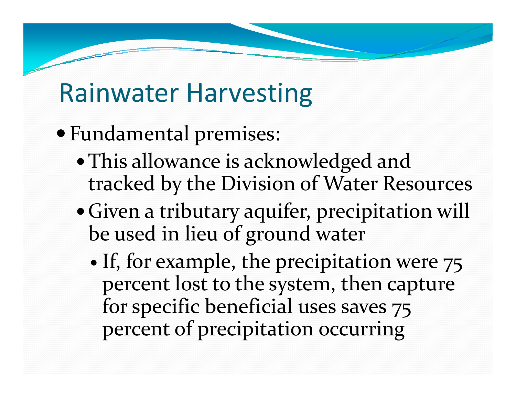- Fundamental premises:
	- This allowance is acknowledged and tracked by the Division of Water Resources
	- Given a tributary aquifer, precipitation will be used in lieu of ground water
		- $\bullet$ • If, for example, the precipitation were 75 percen<sup>t</sup> lost to the system, then capture for specific beneficial uses saves <sup>75</sup> percent of precipitation occurring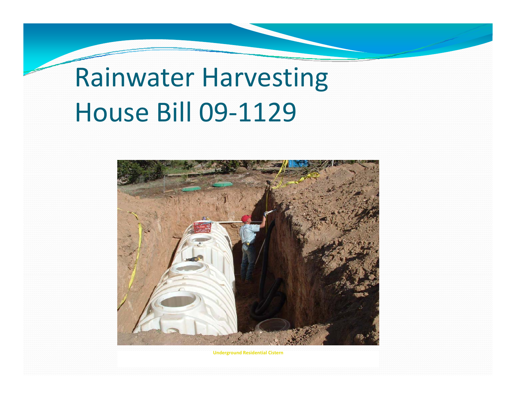# Rainwater Harvesting House Bill 09‐1129



**Underground Residential Cistern**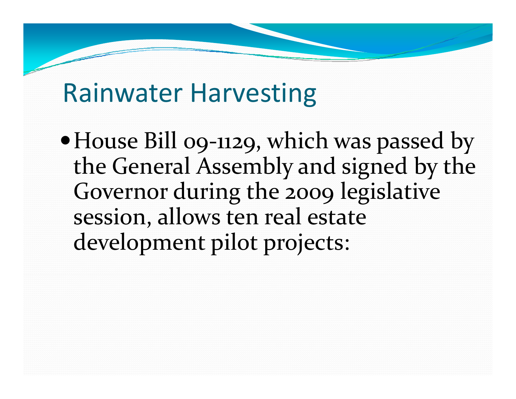House Bill 09‐1129, which was passed by the General Assembly and signed by the Governor during the 2009 legislative session, allows ten real estate development pilot projects: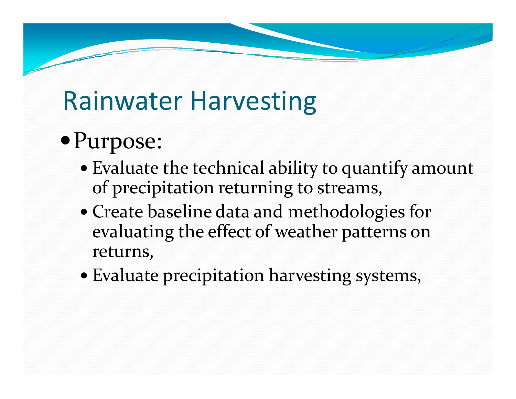#### Purpose:

- Evaluate the technical ability to quantify amount of precipitation returning to streams,
- Create baseline data and methodologies for evaluating the effect of weather patterns on returns,
- Evaluate precipitation harvesting systems,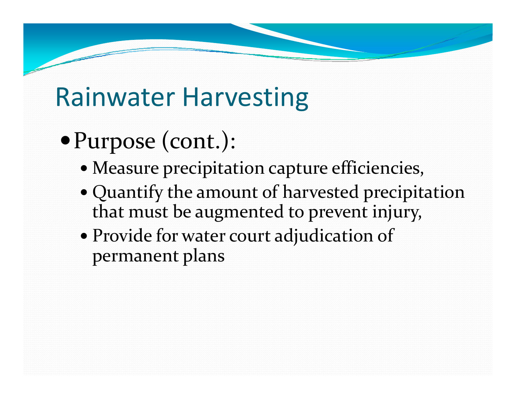- Purpose (cont.):
	- Measure precipitation capture efficiencies,
	- Quantify the amount of harvested precipitation that must be augmented to preven<sup>t</sup> injury,
	- Provide for water court adjudication of permanen<sup>t</sup> plans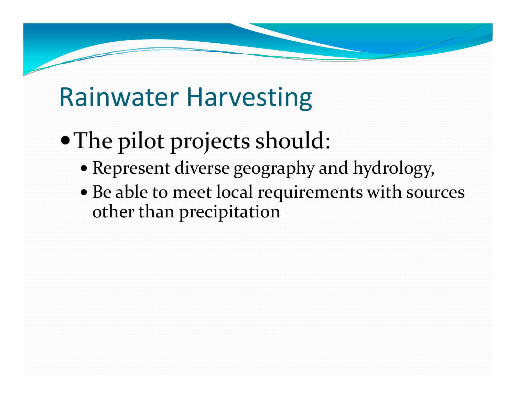- The pilot projects should:
	- Represent diverse geography and hydrology,
	- Be able to meet local requirements with sources other than precipitation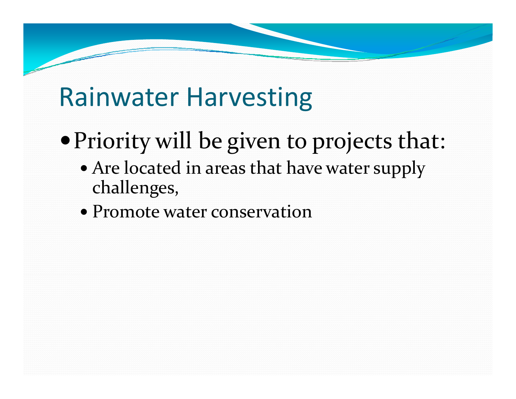- Priority will be given to projects that:
	- Are located in areas that have water supply challenges,
	- Promote water conservation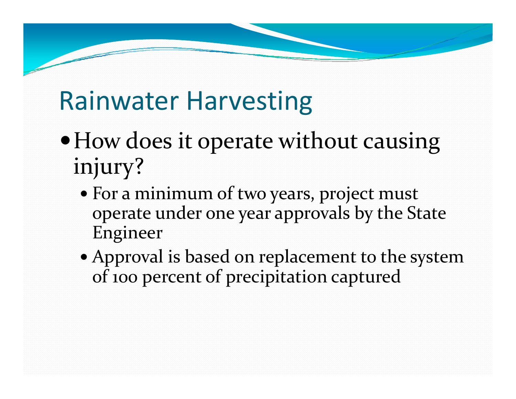- How does it operate without causing injury?
	- For <sup>a</sup> minimum of two years, project must operate under one year approvals by the State Engineer
	- Approval is based on replacement to the system of <sup>100</sup> percen<sup>t</sup> of precipitation captured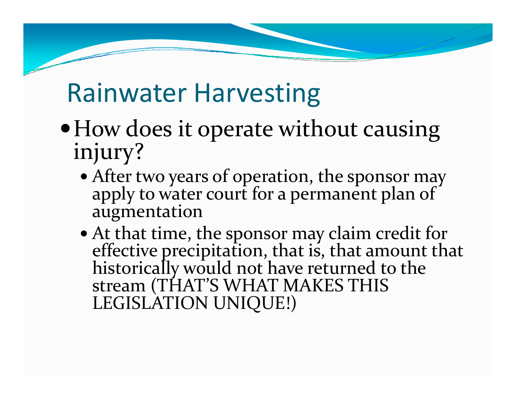- $\bullet$  How does it operate without causing injury?
	- After two years of operation, the sponsor may apply to water court for <sup>a</sup> permanen<sup>t</sup> plan of augmentation
	- At that time, the sponsor may claim credit for effective precipitation, that is, that amount th effective precipitation, that is, that amount that historically would not have returned to the stream (THAT'S WHAT MAKES THIS LEGISLATION UNIQUE!)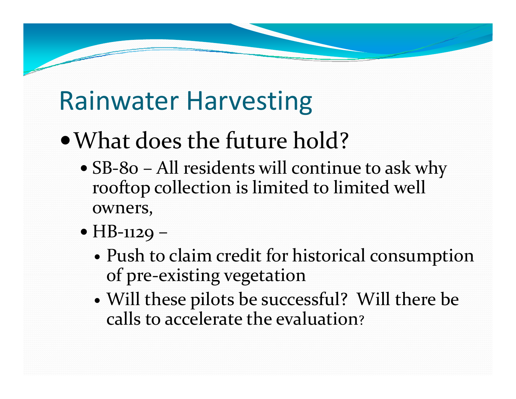## What does the future hold?

- SB-80 All residents will continue to ask why rooftop collection is limited to limited well owners,
- HB-1129
	- Push to claim credit for historical consumption of pre‐existing vegetation
	- $\bullet$  Will these pilots be successful? Will there be calls to accelerate the evaluation?